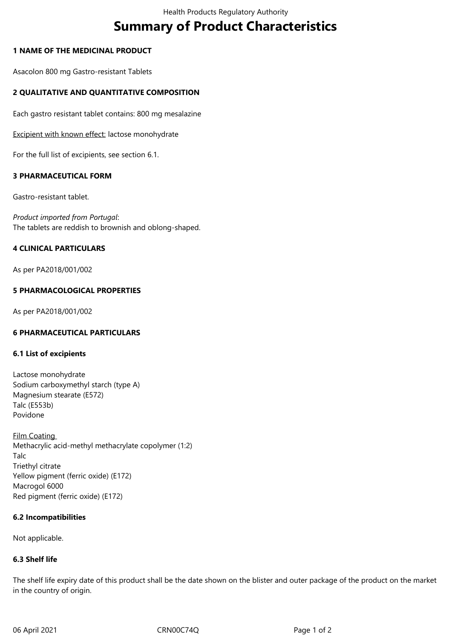# **Summary of Product Characteristics**

## **1 NAME OF THE MEDICINAL PRODUCT**

Asacolon 800 mg Gastro-resistant Tablets

# **2 QUALITATIVE AND QUANTITATIVE COMPOSITION**

Each gastro resistant tablet contains: 800 mg mesalazine

Excipient with known effect: lactose monohydrate

For the full list of excipients, see section 6.1.

## **3 PHARMACEUTICAL FORM**

Gastro-resistant tablet.

*Product imported from Portugal*: The tablets are reddish to brownish and oblong-shaped.

## **4 CLINICAL PARTICULARS**

As per PA2018/001/002

## **5 PHARMACOLOGICAL PROPERTIES**

As per PA2018/001/002

### **6 PHARMACEUTICAL PARTICULARS**

### **6.1 List of excipients**

Lactose monohydrate Sodium carboxymethyl starch (type A) Magnesium stearate (E572) Talc (E553b) Povidone

Film Coating Methacrylic acid-methyl methacrylate copolymer (1:2) Talc Triethyl citrate Yellow pigment (ferric oxide) (E172) Macrogol 6000 Red pigment (ferric oxide) (E172)

### **6.2 Incompatibilities**

Not applicable.

# **6.3 Shelf life**

The shelf life expiry date of this product shall be the date shown on the blister and outer package of the product on the market in the country of origin.

06 April 2021 **CRN00C74Q** Page 1 of 2